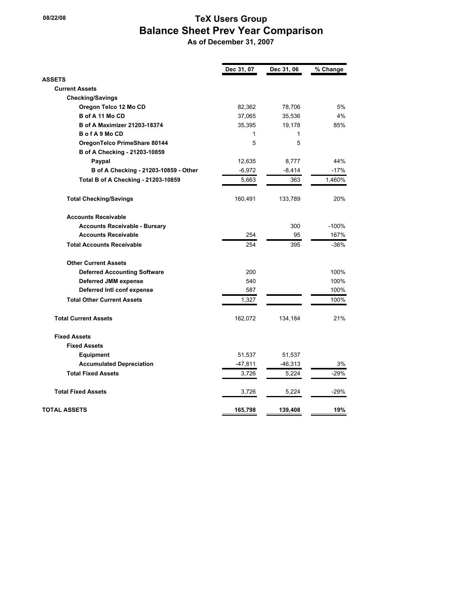## **18/22/08** TeX Users Group  **Balance Sheet Prev Year Comparison**

 **As of December 31, 2007**

|                                       | Dec 31, 07 | Dec 31, 06 | % Change |
|---------------------------------------|------------|------------|----------|
| <b>ASSETS</b>                         |            |            |          |
| <b>Current Assets</b>                 |            |            |          |
| <b>Checking/Savings</b>               |            |            |          |
| Oregon Telco 12 Mo CD                 | 82,362     | 78,706     | 5%       |
| B of A 11 Mo CD                       | 37,065     | 35,536     | 4%       |
| <b>B of A Maximizer 21203-18374</b>   | 35,395     | 19,178     | 85%      |
| BofA9MoCD                             | 1          | 1          |          |
| OregonTelco PrimeShare 80144          | 5          | 5          |          |
| B of A Checking - 21203-10859         |            |            |          |
| Paypal                                | 12,635     | 8,777      | 44%      |
| B of A Checking - 21203-10859 - Other | $-6,972$   | $-8,414$   | -17%     |
| Total B of A Checking - 21203-10859   | 5,663      | 363        | 1,460%   |
| <b>Total Checking/Savings</b>         | 160,491    | 133,789    | 20%      |
| <b>Accounts Receivable</b>            |            |            |          |
| <b>Accounts Receivable - Bursary</b>  |            | 300        | $-100%$  |
| <b>Accounts Receivable</b>            | 254        | 95         | 167%     |
| <b>Total Accounts Receivable</b>      | 254        | 395        | $-36%$   |
| <b>Other Current Assets</b>           |            |            |          |
| <b>Deferred Accounting Software</b>   | 200        |            | 100%     |
| <b>Deferred JMM expense</b>           | 540        |            | 100%     |
| Deferred Intl conf expense            | 587        |            | 100%     |
| <b>Total Other Current Assets</b>     | 1,327      |            | 100%     |
| <b>Total Current Assets</b>           | 162,072    | 134,184    | 21%      |
| <b>Fixed Assets</b>                   |            |            |          |
| <b>Fixed Assets</b>                   |            |            |          |
| <b>Equipment</b>                      | 51,537     | 51,537     |          |
| <b>Accumulated Depreciation</b>       | $-47,811$  | -46,313    | 3%       |
| <b>Total Fixed Assets</b>             | 3,726      | 5,224      | $-29%$   |
| <b>Total Fixed Assets</b>             | 3,726      | 5,224      | $-29%$   |
| <b>TOTAL ASSETS</b>                   | 165,798    | 139,408    | 19%      |